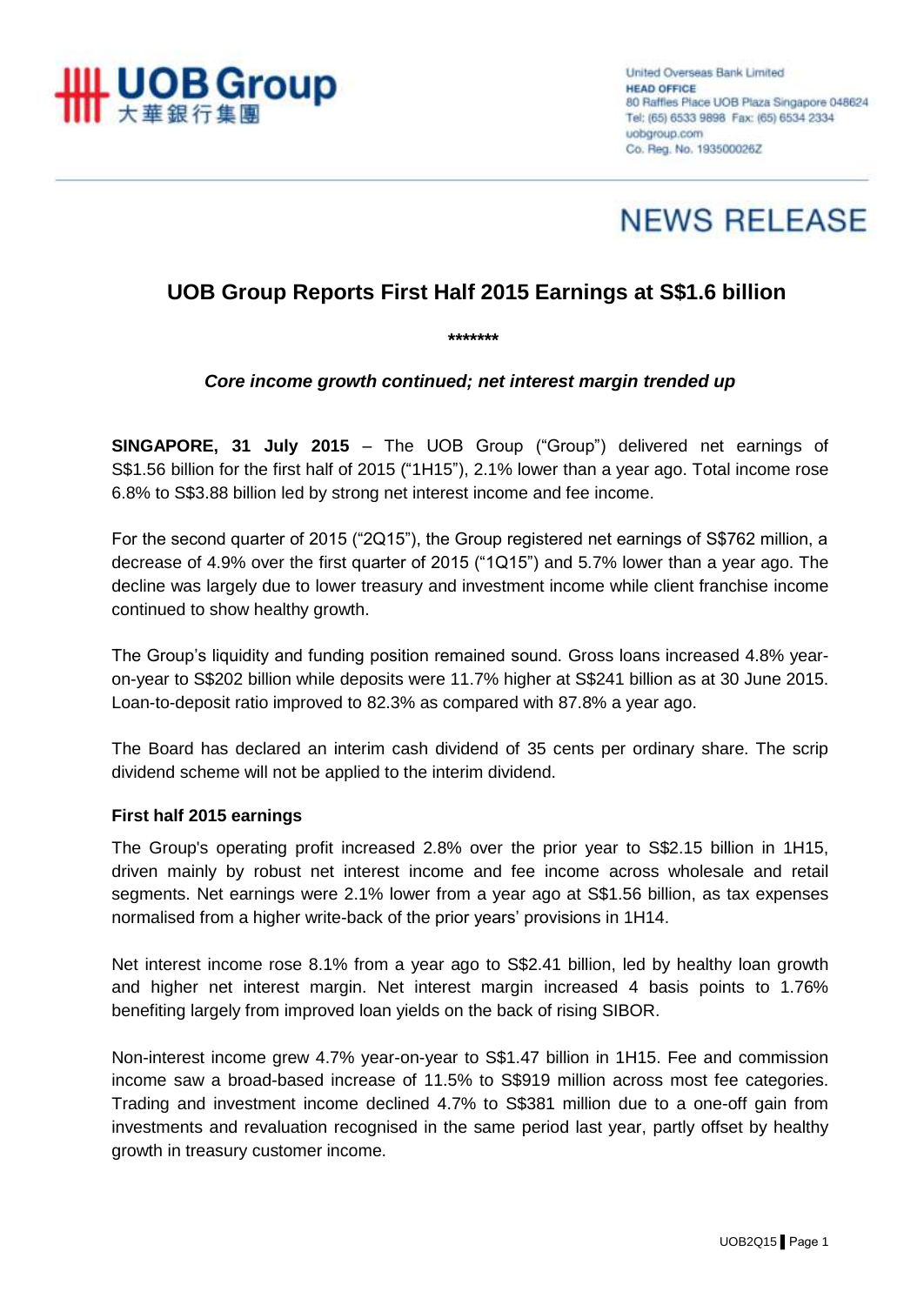

United Overseas Bank Limited **HEAD OFFICE** 80 Raffles Place UOB Plaza Singapore 048624 Tel: (65) 6533 9898 Fax: (65) 6534 2334 uobgroup.com Co. Reg. No. 193500026Z



# **UOB Group Reports First Half 2015 Earnings at S\$1.6 billion**

*Core income growth continued; net interest margin trended up*

*\*\*\*\*\*\*\**

**SINGAPORE, 31 July 2015** – The UOB Group ("Group") delivered net earnings of S\$1.56 billion for the first half of 2015 ("1H15"), 2.1% lower than a year ago. Total income rose 6.8% to S\$3.88 billion led by strong net interest income and fee income.

For the second quarter of 2015 ("2Q15"), the Group registered net earnings of S\$762 million, a decrease of 4.9% over the first quarter of 2015 ("1Q15") and 5.7% lower than a year ago. The decline was largely due to lower treasury and investment income while client franchise income continued to show healthy growth.

The Group's liquidity and funding position remained sound. Gross loans increased 4.8% yearon-year to S\$202 billion while deposits were 11.7% higher at S\$241 billion as at 30 June 2015. Loan-to-deposit ratio improved to 82.3% as compared with 87.8% a year ago.

The Board has declared an interim cash dividend of 35 cents per ordinary share. The scrip dividend scheme will not be applied to the interim dividend.

#### **First half 2015 earnings**

The Group's operating profit increased 2.8% over the prior year to S\$2.15 billion in 1H15, driven mainly by robust net interest income and fee income across wholesale and retail segments. Net earnings were 2.1% lower from a year ago at S\$1.56 billion, as tax expenses normalised from a higher write-back of the prior years' provisions in 1H14.

Net interest income rose 8.1% from a year ago to S\$2.41 billion, led by healthy loan growth and higher net interest margin. Net interest margin increased 4 basis points to 1.76% benefiting largely from improved loan yields on the back of rising SIBOR.

Non-interest income grew 4.7% year-on-year to S\$1.47 billion in 1H15. Fee and commission income saw a broad-based increase of 11.5% to S\$919 million across most fee categories. Trading and investment income declined 4.7% to S\$381 million due to a one-off gain from investments and revaluation recognised in the same period last year, partly offset by healthy growth in treasury customer income.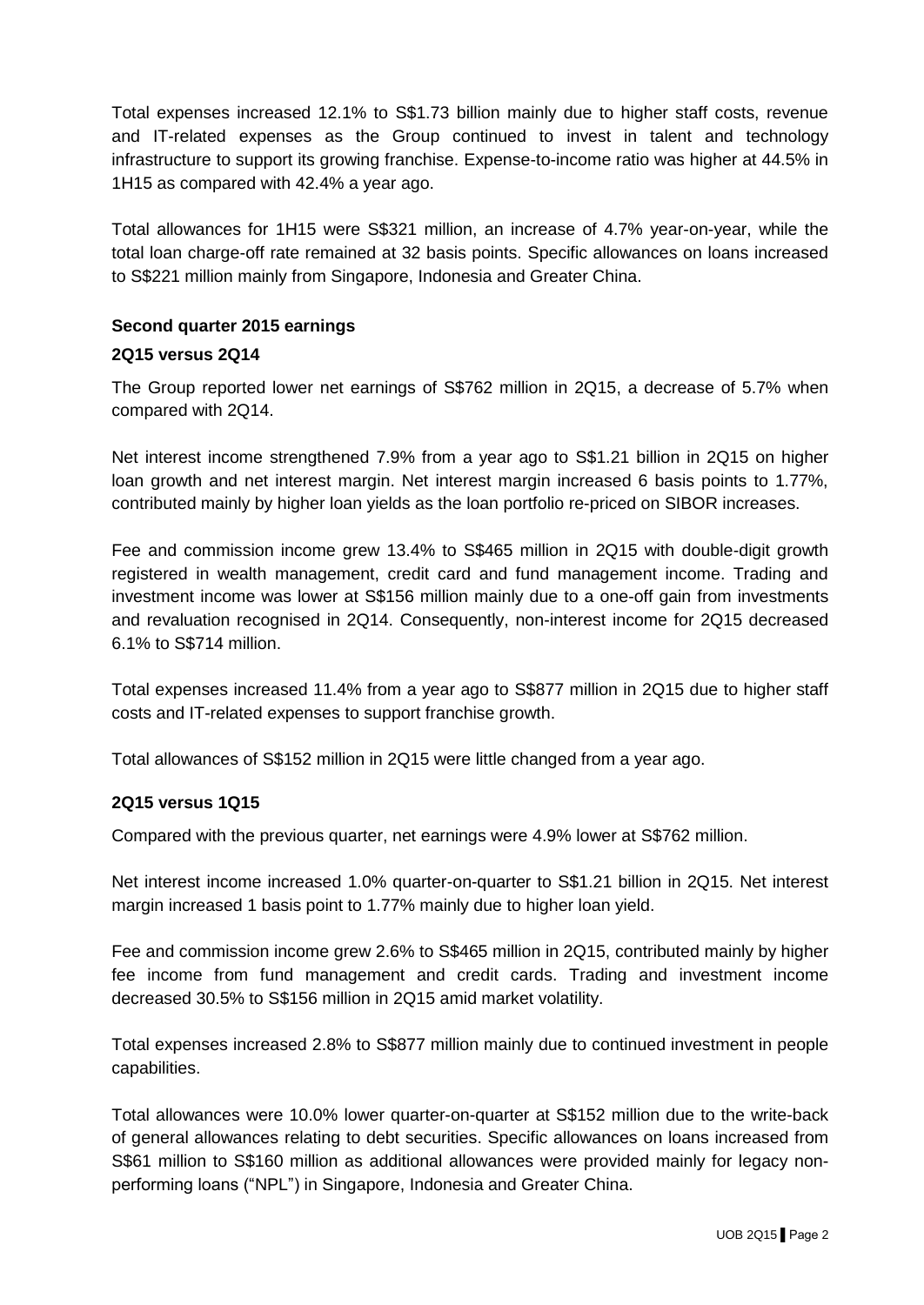Total expenses increased 12.1% to S\$1.73 billion mainly due to higher staff costs, revenue and IT-related expenses as the Group continued to invest in talent and technology infrastructure to support its growing franchise. Expense-to-income ratio was higher at 44.5% in 1H15 as compared with 42.4% a year ago.

Total allowances for 1H15 were S\$321 million, an increase of 4.7% year-on-year, while the total loan charge-off rate remained at 32 basis points. Specific allowances on loans increased to S\$221 million mainly from Singapore, Indonesia and Greater China.

### **Second quarter 2015 earnings**

#### **2Q15 versus 2Q14**

The Group reported lower net earnings of S\$762 million in 2Q15, a decrease of 5.7% when compared with 2Q14.

Net interest income strengthened 7.9% from a year ago to S\$1.21 billion in 2Q15 on higher loan growth and net interest margin. Net interest margin increased 6 basis points to 1.77%, contributed mainly by higher loan yields as the loan portfolio re-priced on SIBOR increases.

Fee and commission income grew 13.4% to S\$465 million in 2Q15 with double-digit growth registered in wealth management, credit card and fund management income. Trading and investment income was lower at S\$156 million mainly due to a one-off gain from investments and revaluation recognised in 2Q14. Consequently, non-interest income for 2Q15 decreased 6.1% to S\$714 million.

Total expenses increased 11.4% from a year ago to S\$877 million in 2Q15 due to higher staff costs and IT-related expenses to support franchise growth.

Total allowances of S\$152 million in 2Q15 were little changed from a year ago.

### **2Q15 versus 1Q15**

Compared with the previous quarter, net earnings were 4.9% lower at S\$762 million.

Net interest income increased 1.0% quarter-on-quarter to S\$1.21 billion in 2Q15. Net interest margin increased 1 basis point to 1.77% mainly due to higher loan yield.

Fee and commission income grew 2.6% to S\$465 million in 2Q15, contributed mainly by higher fee income from fund management and credit cards. Trading and investment income decreased 30.5% to S\$156 million in 2Q15 amid market volatility.

Total expenses increased 2.8% to S\$877 million mainly due to continued investment in people capabilities.

Total allowances were 10.0% lower quarter-on-quarter at S\$152 million due to the write-back of general allowances relating to debt securities. Specific allowances on loans increased from S\$61 million to S\$160 million as additional allowances were provided mainly for legacy nonperforming loans ("NPL") in Singapore, Indonesia and Greater China.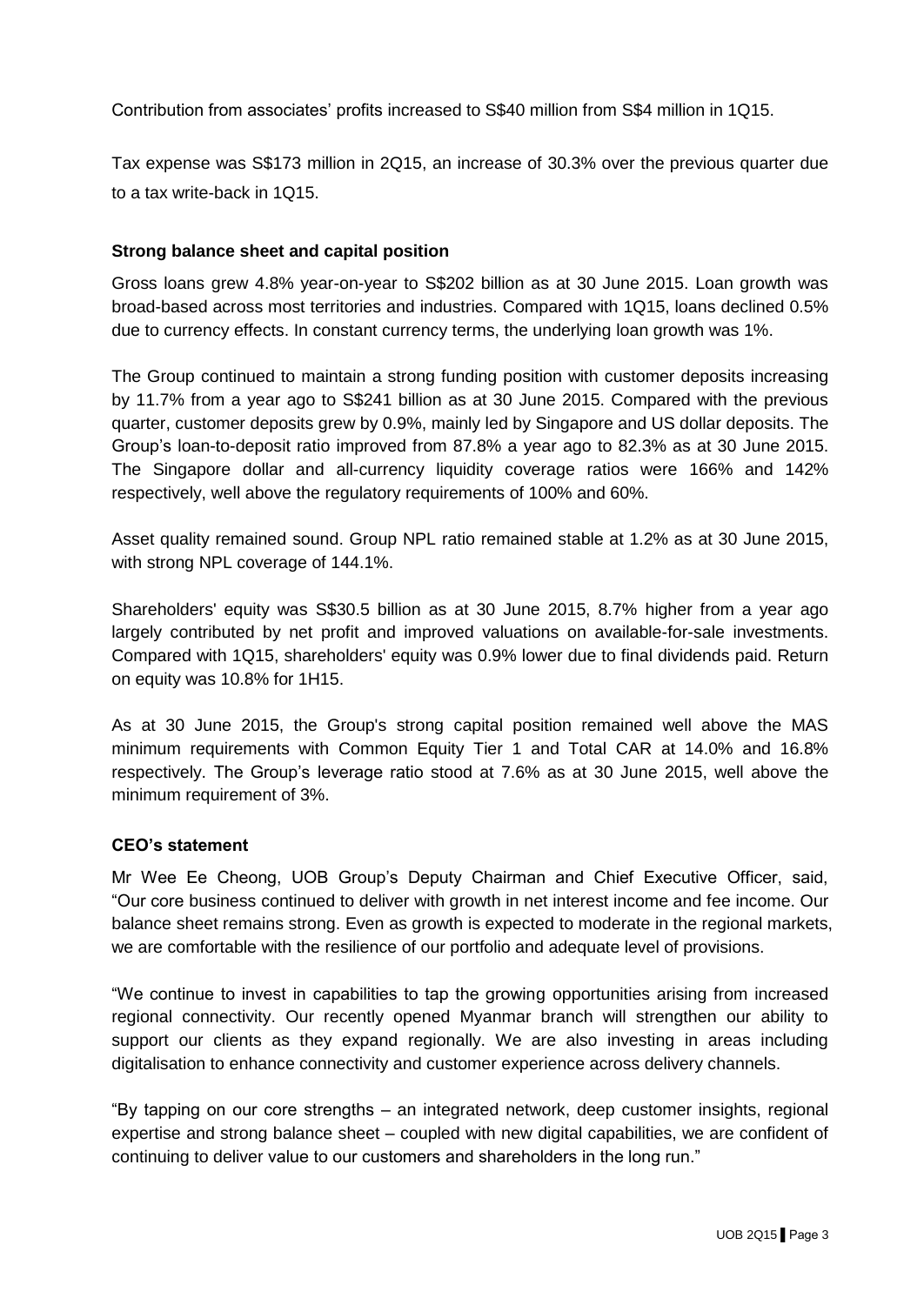Contribution from associates' profits increased to S\$40 million from S\$4 million in 1Q15.

Tax expense was S\$173 million in 2Q15, an increase of 30.3% over the previous quarter due to a tax write-back in 1Q15.

## **Strong balance sheet and capital position**

Gross loans grew 4.8% year-on-year to S\$202 billion as at 30 June 2015. Loan growth was broad-based across most territories and industries. Compared with 1Q15, loans declined 0.5% due to currency effects. In constant currency terms, the underlying loan growth was 1%.

The Group continued to maintain a strong funding position with customer deposits increasing by 11.7% from a year ago to S\$241 billion as at 30 June 2015. Compared with the previous quarter, customer deposits grew by 0.9%, mainly led by Singapore and US dollar deposits. The Group's loan-to-deposit ratio improved from 87.8% a year ago to 82.3% as at 30 June 2015. The Singapore dollar and all-currency liquidity coverage ratios were 166% and 142% respectively, well above the regulatory requirements of 100% and 60%.

Asset quality remained sound. Group NPL ratio remained stable at 1.2% as at 30 June 2015, with strong NPL coverage of 144.1%.

Shareholders' equity was S\$30.5 billion as at 30 June 2015, 8.7% higher from a year ago largely contributed by net profit and improved valuations on available-for-sale investments. Compared with 1Q15, shareholders' equity was 0.9% lower due to final dividends paid. Return on equity was 10.8% for 1H15.

As at 30 June 2015, the Group's strong capital position remained well above the MAS minimum requirements with Common Equity Tier 1 and Total CAR at 14.0% and 16.8% respectively. The Group's leverage ratio stood at 7.6% as at 30 June 2015, well above the minimum requirement of 3%.

### **CEO's statement**

Mr Wee Ee Cheong, UOB Group's Deputy Chairman and Chief Executive Officer, said, "Our core business continued to deliver with growth in net interest income and fee income. Our balance sheet remains strong. Even as growth is expected to moderate in the regional markets, we are comfortable with the resilience of our portfolio and adequate level of provisions.

"We continue to invest in capabilities to tap the growing opportunities arising from increased regional connectivity. Our recently opened Myanmar branch will strengthen our ability to support our clients as they expand regionally. We are also investing in areas including digitalisation to enhance connectivity and customer experience across delivery channels.

"By tapping on our core strengths – an integrated network, deep customer insights, regional expertise and strong balance sheet – coupled with new digital capabilities, we are confident of continuing to deliver value to our customers and shareholders in the long run."